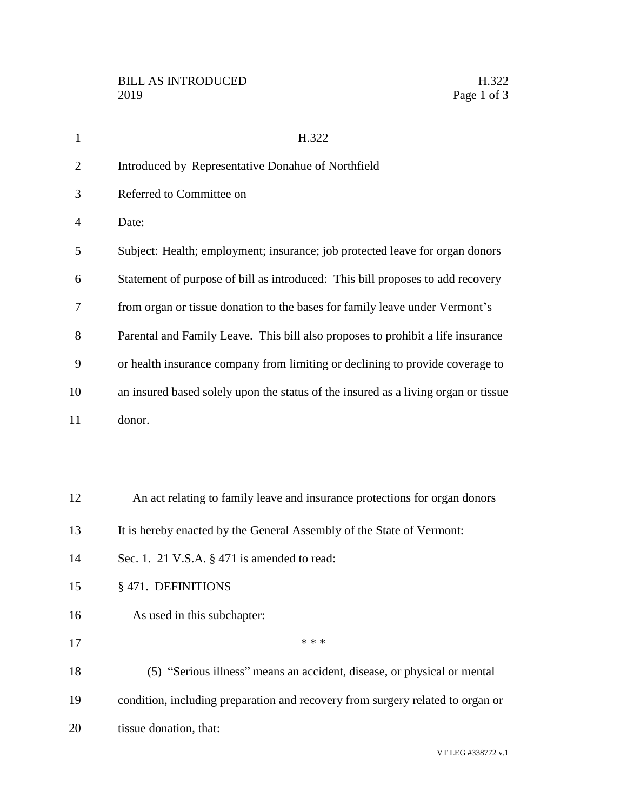| $\mathbf{1}$   | H.322                                                                              |
|----------------|------------------------------------------------------------------------------------|
| $\overline{2}$ | Introduced by Representative Donahue of Northfield                                 |
| 3              | Referred to Committee on                                                           |
| 4              | Date:                                                                              |
| 5              | Subject: Health; employment; insurance; job protected leave for organ donors       |
| 6              | Statement of purpose of bill as introduced: This bill proposes to add recovery     |
| 7              | from organ or tissue donation to the bases for family leave under Vermont's        |
| 8              | Parental and Family Leave. This bill also proposes to prohibit a life insurance    |
| 9              | or health insurance company from limiting or declining to provide coverage to      |
| 10             | an insured based solely upon the status of the insured as a living organ or tissue |
| 11             | donor.                                                                             |
|                |                                                                                    |
|                |                                                                                    |
| 12             | An act relating to family leave and insurance protections for organ donors         |
| 13             | It is hereby enacted by the General Assembly of the State of Vermont:              |
| 14             | Sec. 1. 21 V.S.A. § 471 is amended to read:                                        |
| 15             | § 471. DEFINITIONS                                                                 |
| 16             | As used in this subchapter:                                                        |
| 17             | * * *                                                                              |
| 18             | (5) "Serious illness" means an accident, disease, or physical or mental            |
| 19             | condition, including preparation and recovery from surgery related to organ or     |
| 20             | tissue donation, that:                                                             |
|                |                                                                                    |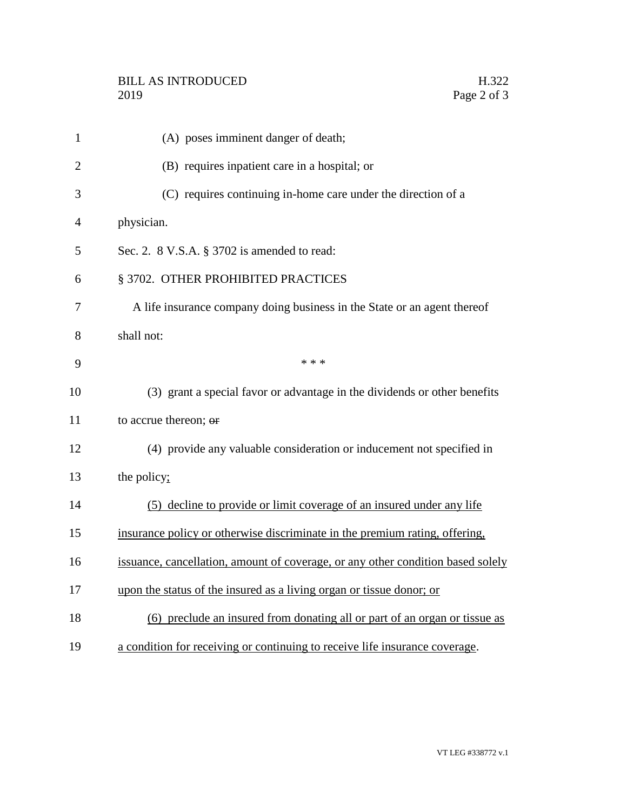| $\mathbf{1}$   | (A) poses imminent danger of death;                                             |
|----------------|---------------------------------------------------------------------------------|
| $\overline{2}$ | (B) requires inpatient care in a hospital; or                                   |
| 3              | (C) requires continuing in-home care under the direction of a                   |
| 4              | physician.                                                                      |
| 5              | Sec. 2. 8 V.S.A. § 3702 is amended to read:                                     |
| 6              | § 3702. OTHER PROHIBITED PRACTICES                                              |
| 7              | A life insurance company doing business in the State or an agent thereof        |
| 8              | shall not:                                                                      |
| 9              | * * *                                                                           |
| 10             | (3) grant a special favor or advantage in the dividends or other benefits       |
| 11             | to accrue thereon; or                                                           |
| 12             | (4) provide any valuable consideration or inducement not specified in           |
| 13             | the policy;                                                                     |
| 14             | (5) decline to provide or limit coverage of an insured under any life           |
| 15             | insurance policy or otherwise discriminate in the premium rating, offering,     |
| 16             | issuance, cancellation, amount of coverage, or any other condition based solely |
| 17             | upon the status of the insured as a living organ or tissue donor; or            |
| 18             | (6) preclude an insured from donating all or part of an organ or tissue as      |
| 19             | a condition for receiving or continuing to receive life insurance coverage.     |